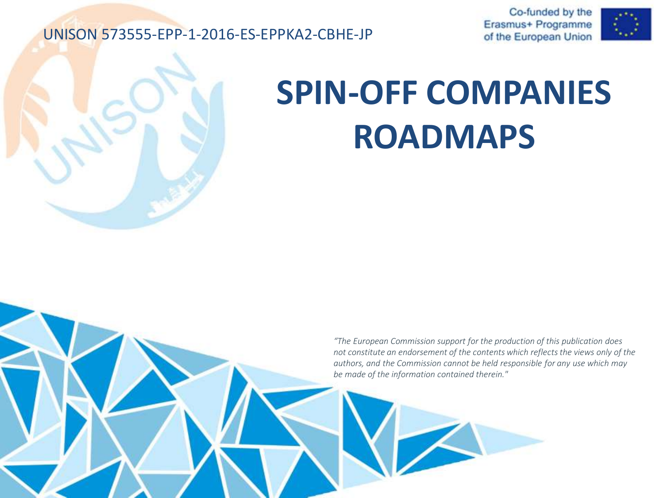





# **SPIN-OFF COMPANIES ROADMAPS**

*"The European Commission support for the production of this publication does not constitute an endorsement of the contents which reflects the views only of the authors, and the Commission cannot be held responsible for any use which may be made of the information contained therein."*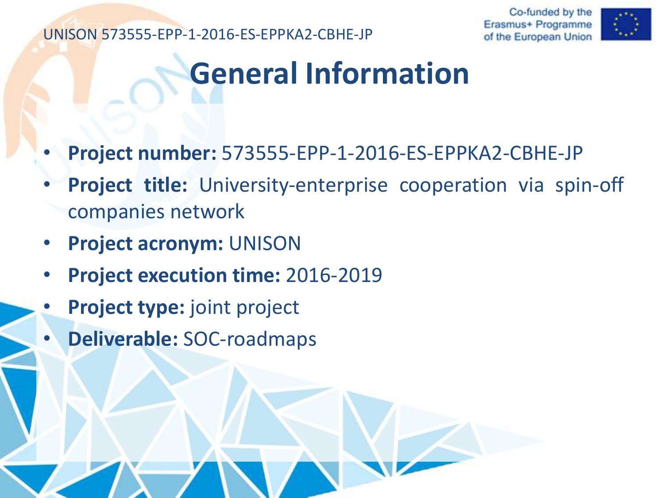



#### **General Information**

- **Project number:** 573555-EPP-1-2016-ES-EPPKA2-CBHE-JP
- **Project title:** University-enterprise cooperation via spin-off companies network
- **Project acronym:** UNISON
- **Project execution time:** 2016-2019
- **Project type:** joint project
- **Deliverable:** SOC-roadmaps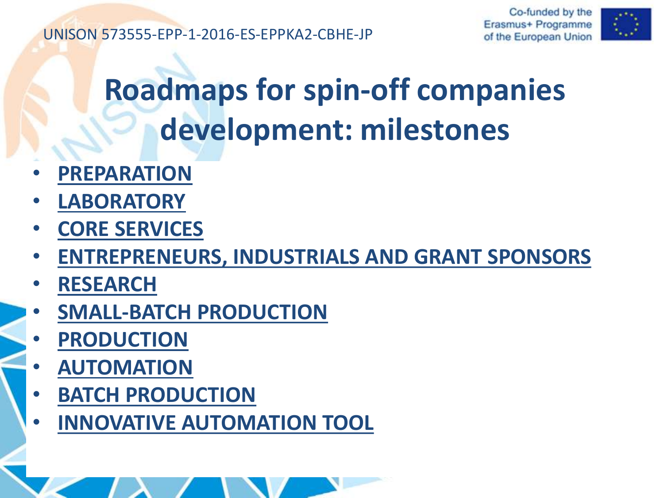



## **Roadmaps for spin-off companies development: milestones**

- **PREPARATION**
- **LABORATORY**
- **CORE SERVICES**
- **ENTREPRENEURS, INDUSTRIALS AND GRANT SPONSORS**
- **RESEARCH**
- **SMALL-BATCH PRODUCTION**
- **PRODUCTION**
- **AUTOMATION**
- **BATCH PRODUCTION**
- **INNOVATIVE AUTOMATION TOOL**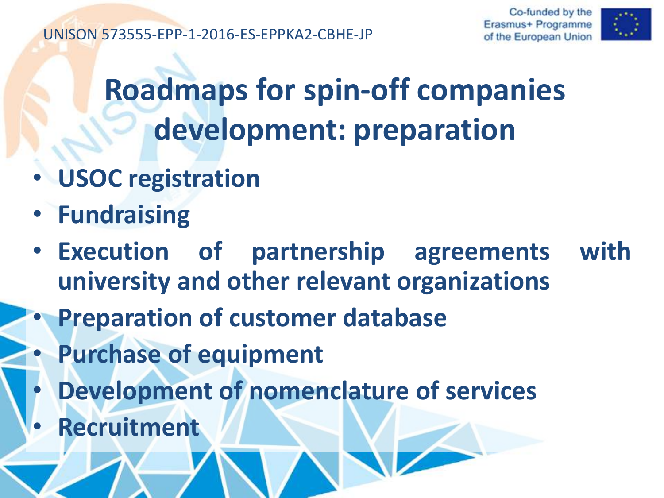



## **Roadmaps for spin-off companies development: preparation**

- **USOC registration**
- **Fundraising**
- **Execution of partnership agreements with university and other relevant organizations**
- **Preparation of customer database**
- **Purchase of equipment**
- **Development of nomenclature of services**
- **Recruitment**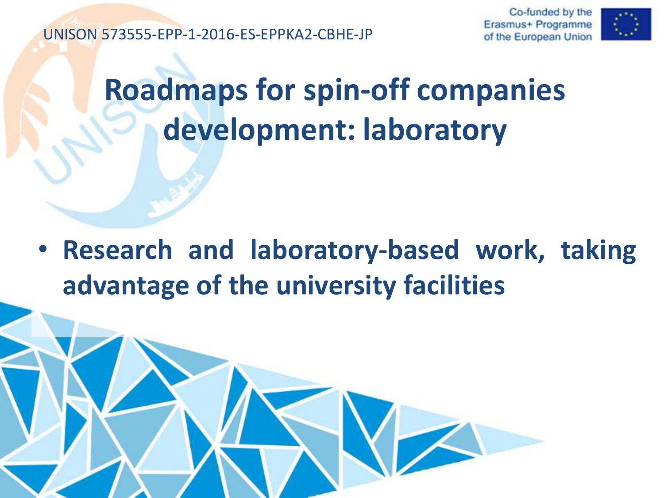



## **Roadmaps for spin-off companies development: laboratory**

• **Research and laboratory-based work, taking advantage of the university facilities**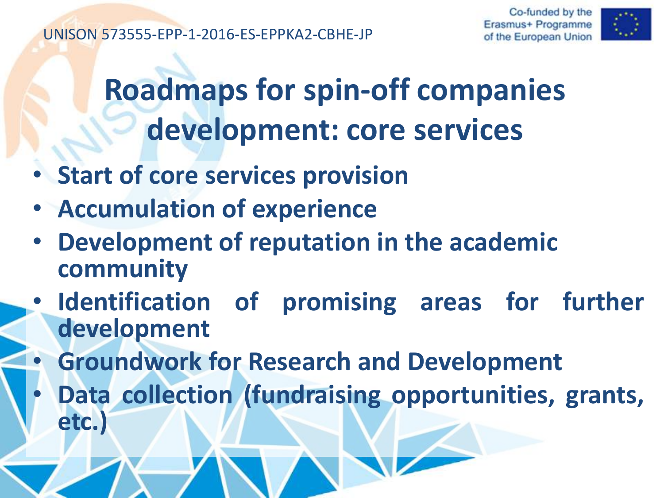



## **Roadmaps for spin-off companies development: core services**

- **Start of core services provision**
- **Accumulation of experience**
- **Development of reputation in the academic community**
- **Identification of promising areas for further development**
- **Groundwork for Research and Development**
- **Data collection (fundraising opportunities, grants, etc.)**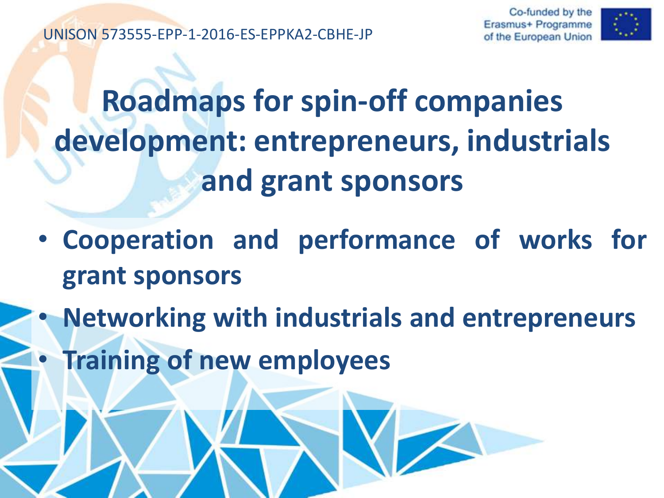



# **Roadmaps for spin-off companies development: entrepreneurs, industrials and grant sponsors**

- **Cooperation and performance of works for grant sponsors**
- **Networking with industrials and entrepreneurs**
- **Training of new employees**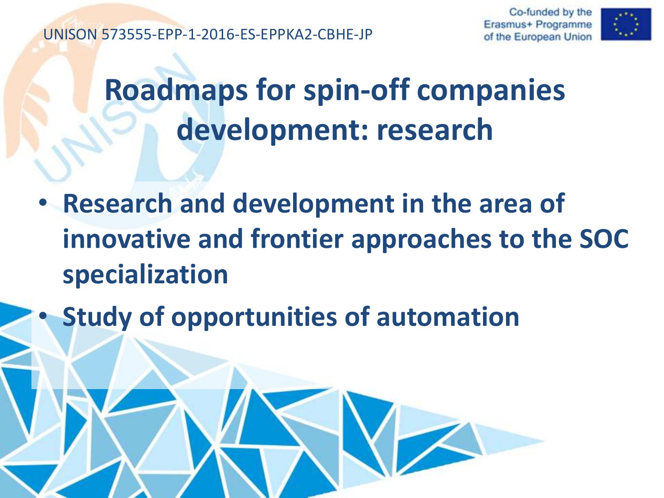



## **Roadmaps for spin-off companies development: research**

- **Research and development in the area of innovative and frontier approaches to the SOC specialization**
	- **Study of opportunities of automation**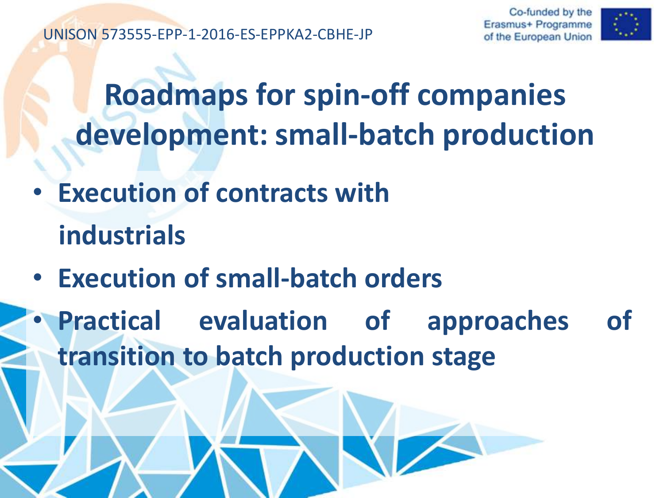



### **Roadmaps for spin-off companies development: small-batch production**

- **Execution of contracts with industrials**
- **Execution of small-batch orders**
- **Practical evaluation of approaches of transition to batch production stage**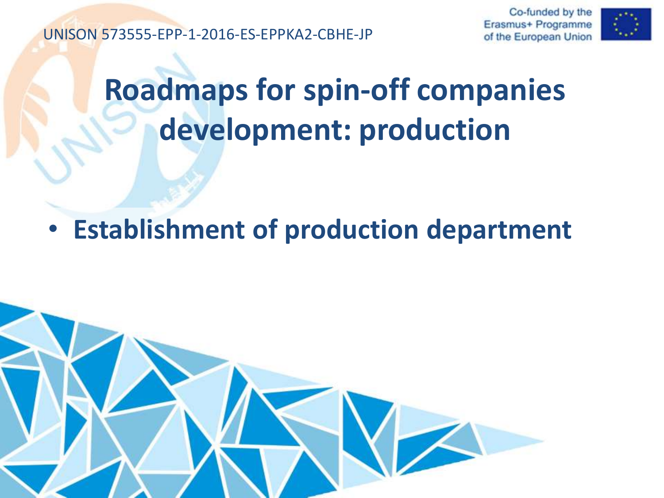



## **Roadmaps for spin-off companies development: production**

#### • **Establishment of production department**

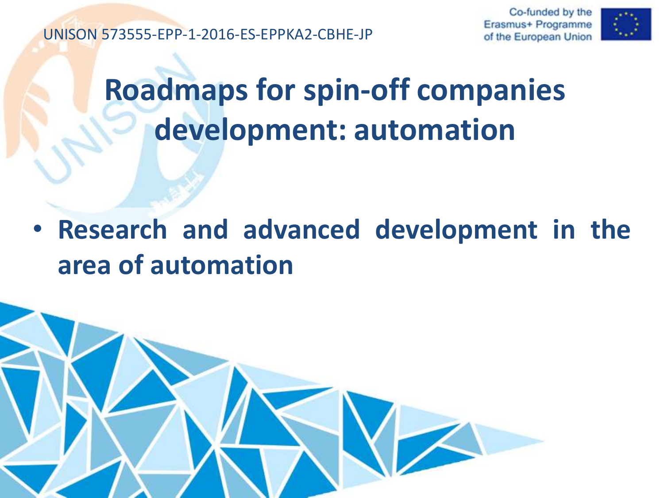



## **Roadmaps for spin-off companies development: automation**

#### • **Research and advanced development in the area of automation**

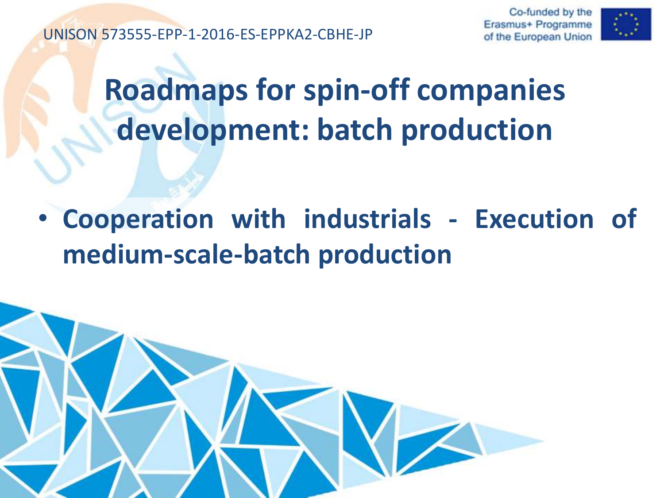



## **Roadmaps for spin-off companies development: batch production**

#### • **Cooperation with industrials - Execution of medium-scale-batch production**